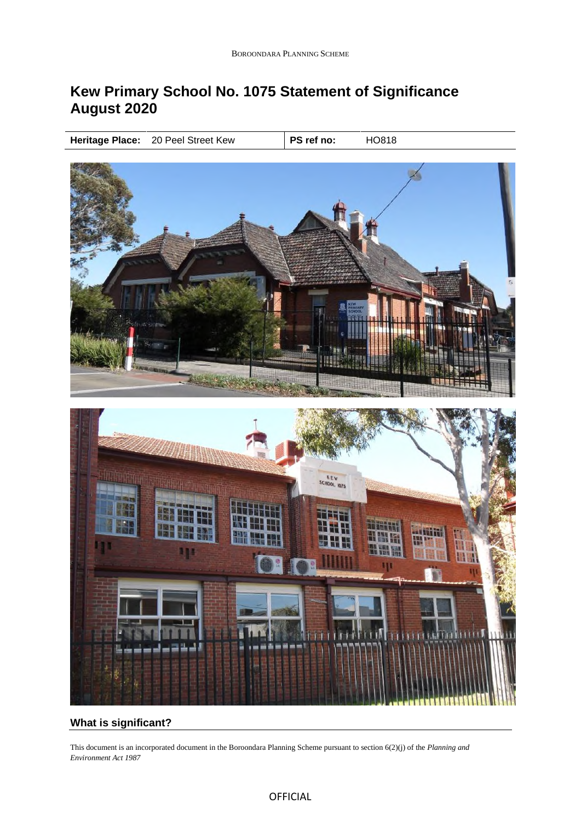# **Kew Primary School No. 1075 Statement of Significance August 2020**

**Heritage Place:** 20 Peel Street Kew **PS ref no:** HO818



# **What is significant?**

This document is an incorporated document in the Boroondara Planning Scheme pursuant to section 6(2)(j) of the *Planning and Environment Act 1987*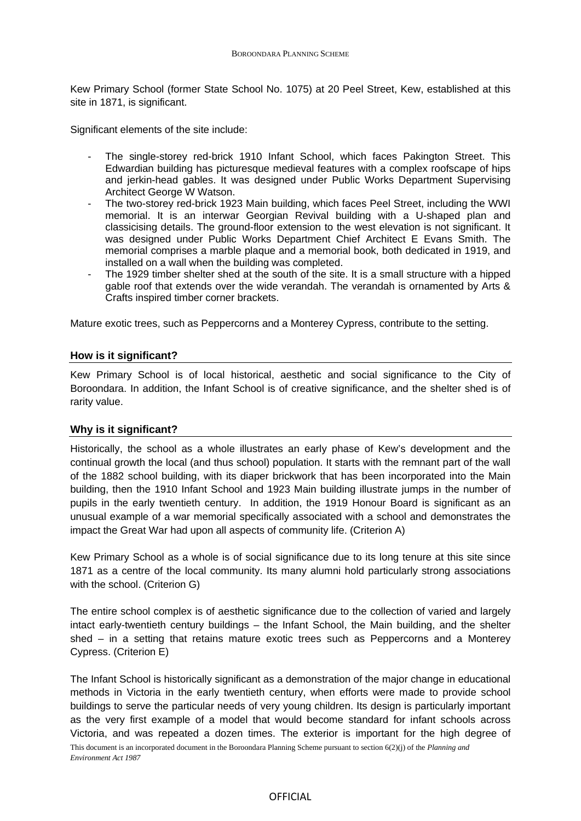Kew Primary School (former State School No. 1075) at 20 Peel Street, Kew, established at this site in 1871, is significant.

Significant elements of the site include:

- The single-storey red-brick 1910 Infant School, which faces Pakington Street. This Edwardian building has picturesque medieval features with a complex roofscape of hips and jerkin-head gables. It was designed under Public Works Department Supervising Architect George W Watson.
- The two-storey red-brick 1923 Main building, which faces Peel Street, including the WWI memorial. It is an interwar Georgian Revival building with a U-shaped plan and classicising details. The ground-floor extension to the west elevation is not significant. It was designed under Public Works Department Chief Architect E Evans Smith. The memorial comprises a marble plaque and a memorial book, both dedicated in 1919, and installed on a wall when the building was completed.
- The 1929 timber shelter shed at the south of the site. It is a small structure with a hipped gable roof that extends over the wide verandah. The verandah is ornamented by Arts & Crafts inspired timber corner brackets.

Mature exotic trees, such as Peppercorns and a Monterey Cypress, contribute to the setting.

## **How is it significant?**

Kew Primary School is of local historical, aesthetic and social significance to the City of Boroondara. In addition, the Infant School is of creative significance, and the shelter shed is of rarity value.

# **Why is it significant?**

Historically, the school as a whole illustrates an early phase of Kew's development and the continual growth the local (and thus school) population. It starts with the remnant part of the wall of the 1882 school building, with its diaper brickwork that has been incorporated into the Main building, then the 1910 Infant School and 1923 Main building illustrate jumps in the number of pupils in the early twentieth century. In addition, the 1919 Honour Board is significant as an unusual example of a war memorial specifically associated with a school and demonstrates the impact the Great War had upon all aspects of community life. (Criterion A)

Kew Primary School as a whole is of social significance due to its long tenure at this site since 1871 as a centre of the local community. Its many alumni hold particularly strong associations with the school. (Criterion G)

The entire school complex is of aesthetic significance due to the collection of varied and largely intact early-twentieth century buildings – the Infant School, the Main building, and the shelter shed – in a setting that retains mature exotic trees such as Peppercorns and a Monterey Cypress. (Criterion E)

This document is an incorporated document in the Boroondara Planning Scheme pursuant to section 6(2)(j) of the *Planning and Environment Act 1987* The Infant School is historically significant as a demonstration of the major change in educational methods in Victoria in the early twentieth century, when efforts were made to provide school buildings to serve the particular needs of very young children. Its design is particularly important as the very first example of a model that would become standard for infant schools across Victoria, and was repeated a dozen times. The exterior is important for the high degree of

#### OFFICIAL